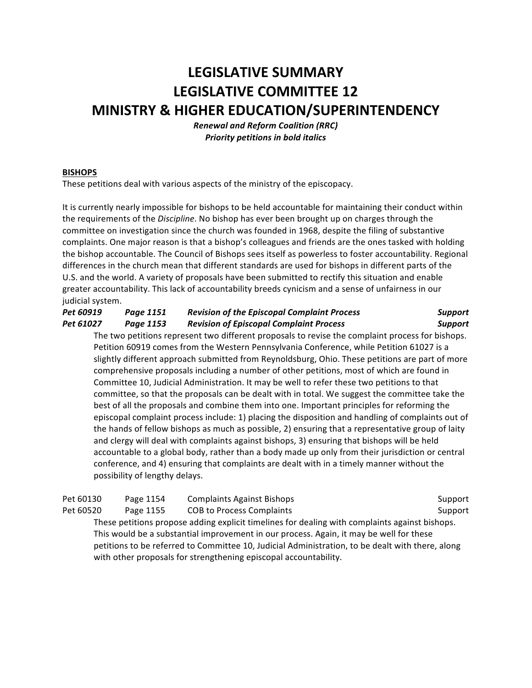# **LEGISLATIVE SUMMARY LEGISLATIVE COMMITTEE 12 MINISTRY & HIGHER EDUCATION/SUPERINTENDENCY**

*Renewal and Reform Coalition (RRC)* **Priority petitions in bold italics** 

# **BISHOPS**

These petitions deal with various aspects of the ministry of the episcopacy.

It is currently nearly impossible for bishops to be held accountable for maintaining their conduct within the requirements of the *Discipline*. No bishop has ever been brought up on charges through the committee on investigation since the church was founded in 1968, despite the filing of substantive complaints. One major reason is that a bishop's colleagues and friends are the ones tasked with holding the bishop accountable. The Council of Bishops sees itself as powerless to foster accountability. Regional differences in the church mean that different standards are used for bishops in different parts of the U.S. and the world. A variety of proposals have been submitted to rectify this situation and enable greater accountability. This lack of accountability breeds cynicism and a sense of unfairness in our judicial system.

| Pet 60919 | Page 1151 | <b>Revision of the Episcopal Complaint Process</b> | Support |
|-----------|-----------|----------------------------------------------------|---------|
| Pet 61027 | Page 1153 | <b>Revision of Episcopal Complaint Process</b>     | Support |

The two petitions represent two different proposals to revise the complaint process for bishops. Petition 60919 comes from the Western Pennsylvania Conference, while Petition 61027 is a slightly different approach submitted from Reynoldsburg, Ohio. These petitions are part of more comprehensive proposals including a number of other petitions, most of which are found in Committee 10, Judicial Administration. It may be well to refer these two petitions to that committee, so that the proposals can be dealt with in total. We suggest the committee take the best of all the proposals and combine them into one. Important principles for reforming the episcopal complaint process include: 1) placing the disposition and handling of complaints out of the hands of fellow bishops as much as possible, 2) ensuring that a representative group of laity and clergy will deal with complaints against bishops, 3) ensuring that bishops will be held accountable to a global body, rather than a body made up only from their jurisdiction or central conference, and 4) ensuring that complaints are dealt with in a timely manner without the possibility of lengthy delays.

| Pet 60130                                                                                        | Page 1154 | <b>Complaints Against Bishops</b>                                                              | Support |  |
|--------------------------------------------------------------------------------------------------|-----------|------------------------------------------------------------------------------------------------|---------|--|
| Pet 60520                                                                                        | Page 1155 | <b>COB to Process Complaints</b>                                                               | Support |  |
|                                                                                                  |           | These petitions propose adding explicit timelines for dealing with complaints against bishops. |         |  |
|                                                                                                  |           | This would be a substantial improvement in our process. Again, it may be well for these        |         |  |
| petitions to be referred to Committee 10, Judicial Administration, to be dealt with there, along |           |                                                                                                |         |  |
|                                                                                                  |           | with other proposals for strengthening episcopal accountability.                               |         |  |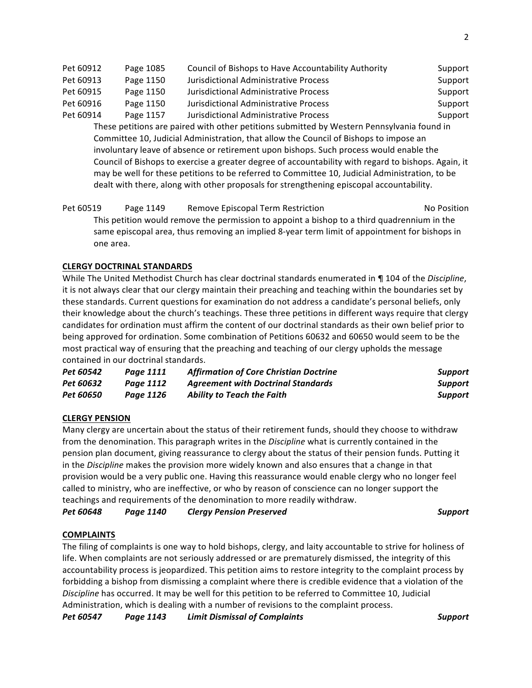Pet 60912 Page 1085 Council of Bishops to Have Accountability Authority Support Pet 60913 Page 1150 Jurisdictional Administrative Process Support Pet 60915 Page 1150 Jurisdictional Administrative Process Support Pet 60916 Page 1150 Jurisdictional Administrative Process Support Pet 60914 Page 1157 Jurisdictional Administrative Process Support These petitions are paired with other petitions submitted by Western Pennsylvania found in Committee 10, Judicial Administration, that allow the Council of Bishops to impose an involuntary leave of absence or retirement upon bishops. Such process would enable the Council of Bishops to exercise a greater degree of accountability with regard to bishops. Again, it may be well for these petitions to be referred to Committee 10, Judicial Administration, to be dealt with there, along with other proposals for strengthening episcopal accountability.

Pet 60519 Page 1149 Remove Episcopal Term Restriction No Position No Position This petition would remove the permission to appoint a bishop to a third quadrennium in the same episcopal area, thus removing an implied 8-year term limit of appointment for bishops in one area.

# **CLERGY DOCTRINAL STANDARDS**

While The United Methodist Church has clear doctrinal standards enumerated in ¶ 104 of the *Discipline*, it is not always clear that our clergy maintain their preaching and teaching within the boundaries set by these standards. Current questions for examination do not address a candidate's personal beliefs, only their knowledge about the church's teachings. These three petitions in different ways require that clergy candidates for ordination must affirm the content of our doctrinal standards as their own belief prior to being approved for ordination. Some combination of Petitions 60632 and 60650 would seem to be the most practical way of ensuring that the preaching and teaching of our clergy upholds the message contained in our doctrinal standards.

| Pet 60542        | Paae 1111 | <b>Affirmation of Core Christian Doctrine</b> | Support |
|------------------|-----------|-----------------------------------------------|---------|
| Pet 60632        | Paae 1112 | <b>Agreement with Doctrinal Standards</b>     | Support |
| <b>Pet 60650</b> | Page 1126 | Ability to Teach the Faith                    | Support |

# **CLERGY PENSION**

Many clergy are uncertain about the status of their retirement funds, should they choose to withdraw from the denomination. This paragraph writes in the *Discipline* what is currently contained in the pension plan document, giving reassurance to clergy about the status of their pension funds. Putting it in the *Discipline* makes the provision more widely known and also ensures that a change in that provision would be a very public one. Having this reassurance would enable clergy who no longer feel called to ministry, who are ineffective, or who by reason of conscience can no longer support the teachings and requirements of the denomination to more readily withdraw.

*Pet 60648 Page 1140 Clergy Pension Preserved Support*

# **COMPLAINTS**

The filing of complaints is one way to hold bishops, clergy, and laity accountable to strive for holiness of life. When complaints are not seriously addressed or are prematurely dismissed, the integrity of this accountability process is jeopardized. This petition aims to restore integrity to the complaint process by forbidding a bishop from dismissing a complaint where there is credible evidence that a violation of the *Discipline* has occurred. It may be well for this petition to be referred to Committee 10, Judicial Administration, which is dealing with a number of revisions to the complaint process. *Pet 60547 Page 1143 Limit Dismissal of Complaints Support*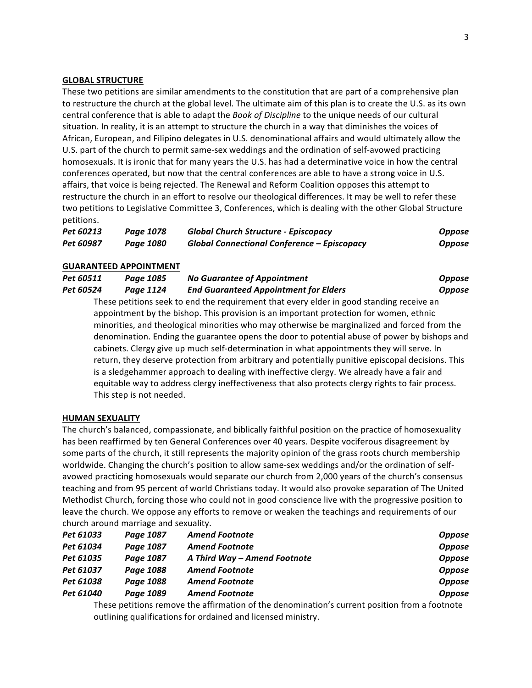#### **GLOBAL STRUCTURE**

These two petitions are similar amendments to the constitution that are part of a comprehensive plan to restructure the church at the global level. The ultimate aim of this plan is to create the U.S. as its own central conference that is able to adapt the *Book of Discipline* to the unique needs of our cultural situation. In reality, it is an attempt to structure the church in a way that diminishes the voices of African, European, and Filipino delegates in U.S. denominational affairs and would ultimately allow the U.S. part of the church to permit same-sex weddings and the ordination of self-avowed practicing homosexuals. It is ironic that for many years the U.S. has had a determinative voice in how the central conferences operated, but now that the central conferences are able to have a strong voice in U.S. affairs, that voice is being rejected. The Renewal and Reform Coalition opposes this attempt to restructure the church in an effort to resolve our theological differences. It may be well to refer these two petitions to Legislative Committee 3, Conferences, which is dealing with the other Global Structure petitions.

| Pet 60213 | Page 1078 | <b>Global Church Structure - Episcopacy</b> | <b>Oppose</b> |
|-----------|-----------|---------------------------------------------|---------------|
| Pet 60987 | Page 1080 | Global Connectional Conference - Episcopacy | <b>Oppose</b> |

#### **GUARANTEED APPOINTMENT**

| Pet 60511 | Page 1085 | <b>No Guarantee of Appointment</b>           | <b>Oppose</b> |
|-----------|-----------|----------------------------------------------|---------------|
| Pet 60524 | Page 1124 | <b>End Guaranteed Appointment for Elders</b> | <b>Oppose</b> |

These petitions seek to end the requirement that every elder in good standing receive an appointment by the bishop. This provision is an important protection for women, ethnic minorities, and theological minorities who may otherwise be marginalized and forced from the denomination. Ending the guarantee opens the door to potential abuse of power by bishops and cabinets. Clergy give up much self-determination in what appointments they will serve. In return, they deserve protection from arbitrary and potentially punitive episcopal decisions. This is a sledgehammer approach to dealing with ineffective clergy. We already have a fair and equitable way to address clergy ineffectiveness that also protects clergy rights to fair process. This step is not needed.

#### **HUMAN SEXUALITY**

The church's balanced, compassionate, and biblically faithful position on the practice of homosexuality has been reaffirmed by ten General Conferences over 40 years. Despite vociferous disagreement by some parts of the church, it still represents the majority opinion of the grass roots church membership worldwide. Changing the church's position to allow same-sex weddings and/or the ordination of selfavowed practicing homosexuals would separate our church from 2,000 years of the church's consensus teaching and from 95 percent of world Christians today. It would also provoke separation of The United Methodist Church, forcing those who could not in good conscience live with the progressive position to leave the church. We oppose any efforts to remove or weaken the teachings and requirements of our church around marriage and sexuality.

| Pet 61033 | Page 1087 | <b>Amend Footnote</b>        | <b>Oppose</b> |
|-----------|-----------|------------------------------|---------------|
| Pet 61034 | Page 1087 | <b>Amend Footnote</b>        | <b>Oppose</b> |
| Pet 61035 | Page 1087 | A Third Way - Amend Footnote | <b>Oppose</b> |
| Pet 61037 | Page 1088 | <b>Amend Footnote</b>        | <b>Oppose</b> |
| Pet 61038 | Page 1088 | <b>Amend Footnote</b>        | <b>Oppose</b> |
| Pet 61040 | Page 1089 | <b>Amend Footnote</b>        | <b>Oppose</b> |

These petitions remove the affirmation of the denomination's current position from a footnote outlining qualifications for ordained and licensed ministry.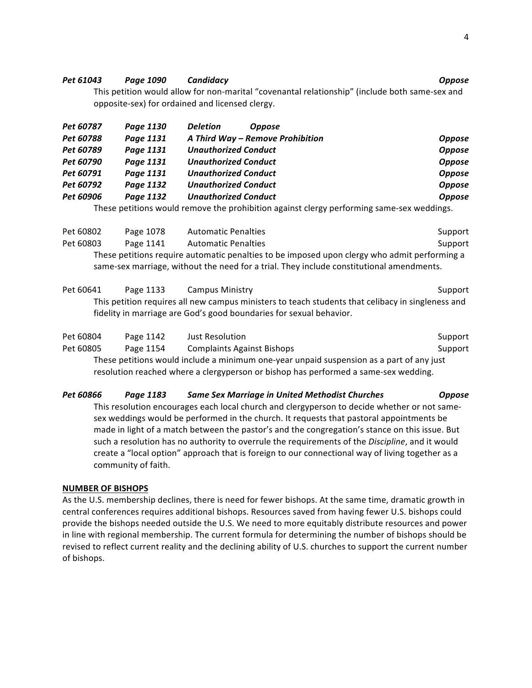#### *Pet 61043 Page 1090 Candidacy Oppose*

This petition would allow for non-marital "covenantal relationship" (include both same-sex and opposite-sex) for ordained and licensed clergy.

| Pet 60787 | Page 1130 | <b>Deletion</b><br><b>Oppose</b> |               |
|-----------|-----------|----------------------------------|---------------|
| Pet 60788 | Page 1131 | A Third Way - Remove Prohibition | <b>Oppose</b> |
| Pet 60789 | Page 1131 | <b>Unauthorized Conduct</b>      | <b>Oppose</b> |
| Pet 60790 | Page 1131 | <b>Unauthorized Conduct</b>      | <b>Oppose</b> |
| Pet 60791 | Page 1131 | <b>Unauthorized Conduct</b>      | <b>Oppose</b> |
| Pet 60792 | Page 1132 | <b>Unauthorized Conduct</b>      | <b>Oppose</b> |
| Pet 60906 | Page 1132 | <b>Unauthorized Conduct</b>      | <b>Oppose</b> |

These petitions would remove the prohibition against clergy performing same-sex weddings.

| Pet 60802 | Page 1078 | <b>Automatic Penalties</b>                                                                   | Support |
|-----------|-----------|----------------------------------------------------------------------------------------------|---------|
| Pet 60803 | Page 1141 | <b>Automatic Penalties</b>                                                                   | Support |
|           |           | These petitions require automatic penalties to be imposed upon clergy who admit performing a |         |
|           |           | same-sex marriage, without the need for a trial. They include constitutional amendments.     |         |

| Pet 60641 | Page 1133 | <b>Campus Ministry</b>                                                                            | Support |
|-----------|-----------|---------------------------------------------------------------------------------------------------|---------|
|           |           | This petition requires all new campus ministers to teach students that celibacy in singleness and |         |
|           |           | fidelity in marriage are God's good boundaries for sexual behavior.                               |         |

| Pet 60804 | Page 1142 | Just Resolution                                                                          | Support |
|-----------|-----------|------------------------------------------------------------------------------------------|---------|
| Pet 60805 | Page 1154 | <b>Complaints Against Bishops</b>                                                        | Support |
|           |           | These petitions would include a minimum one-year unpaid suspension as a part of any just |         |
|           |           | resolution reached where a clergyperson or bishop has performed a same-sex wedding.      |         |

## *Pet 60866 Page 1183 Same Sex Marriage in United Methodist Churches Oppose*

This resolution encourages each local church and clergyperson to decide whether or not samesex weddings would be performed in the church. It requests that pastoral appointments be made in light of a match between the pastor's and the congregation's stance on this issue. But such a resolution has no authority to overrule the requirements of the *Discipline*, and it would create a "local option" approach that is foreign to our connectional way of living together as a community of faith.

#### **NUMBER OF BISHOPS**

As the U.S. membership declines, there is need for fewer bishops. At the same time, dramatic growth in central conferences requires additional bishops. Resources saved from having fewer U.S. bishops could provide the bishops needed outside the U.S. We need to more equitably distribute resources and power in line with regional membership. The current formula for determining the number of bishops should be revised to reflect current reality and the declining ability of U.S. churches to support the current number of bishops.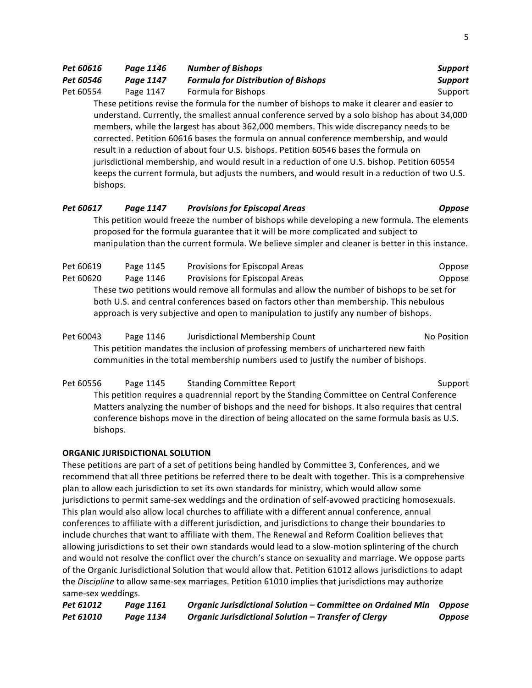| Pet 60616 | Page 1146 | <b>Number of Bishops</b>                                                                        | <b>Support</b> |
|-----------|-----------|-------------------------------------------------------------------------------------------------|----------------|
| Pet 60546 | Page 1147 | <b>Formula for Distribution of Bishops</b>                                                      | <b>Support</b> |
| Pet 60554 | Page 1147 | Formula for Bishops                                                                             | Support        |
|           |           | These petitions revise the formula for the number of bishops to make it clearer and easier to   |                |
|           |           | understand. Currently, the smallest annual conference served by a solo bishop has about 34,000  |                |
|           |           | members, while the largest has about 362,000 members. This wide discrepancy needs to be         |                |
|           |           | corrected. Petition 60616 bases the formula on annual conference membership, and would          |                |
|           |           | result in a reduction of about four U.S. bishops. Petition 60546 bases the formula on           |                |
|           |           | jurisdictional membership, and would result in a reduction of one U.S. bishop. Petition 60554   |                |
| bishops.  |           | keeps the current formula, but adjusts the numbers, and would result in a reduction of two U.S. |                |
|           |           |                                                                                                 |                |

# *Pet 60617 Page 1147 Provisions for Episcopal Areas Oppose*

This petition would freeze the number of bishops while developing a new formula. The elements proposed for the formula guarantee that it will be more complicated and subject to manipulation than the current formula. We believe simpler and cleaner is better in this instance.

| Pet 60619 | Page 1145 | Provisions for Episcopal Areas                                                              | Oppose |
|-----------|-----------|---------------------------------------------------------------------------------------------|--------|
| Pet 60620 | Page 1146 | Provisions for Episcopal Areas                                                              | Oppose |
|           |           | These two petitions would remove all formulas and allow the number of bishops to be set for |        |
|           |           | both U.S. and central conferences based on factors other than membership. This nebulous     |        |
|           |           | approach is very subjective and open to manipulation to justify any number of bishops.      |        |

Pet 60043 Page 1146 Jurisdictional Membership Count Note and No Position This petition mandates the inclusion of professing members of unchartered new faith communities in the total membership numbers used to justify the number of bishops.

Pet 60556 Page 1145 Standing Committee Report Support Support This petition requires a quadrennial report by the Standing Committee on Central Conference Matters analyzing the number of bishops and the need for bishops. It also requires that central conference bishops move in the direction of being allocated on the same formula basis as U.S. bishops.

# **ORGANIC JURISDICTIONAL SOLUTION**

These petitions are part of a set of petitions being handled by Committee 3, Conferences, and we recommend that all three petitions be referred there to be dealt with together. This is a comprehensive plan to allow each jurisdiction to set its own standards for ministry, which would allow some jurisdictions to permit same-sex weddings and the ordination of self-avowed practicing homosexuals. This plan would also allow local churches to affiliate with a different annual conference, annual conferences to affiliate with a different jurisdiction, and jurisdictions to change their boundaries to include churches that want to affiliate with them. The Renewal and Reform Coalition believes that allowing jurisdictions to set their own standards would lead to a slow-motion splintering of the church and would not resolve the conflict over the church's stance on sexuality and marriage. We oppose parts of the Organic Jurisdictional Solution that would allow that. Petition 61012 allows jurisdictions to adapt the *Discipline* to allow same-sex marriages. Petition 61010 implies that jurisdictions may authorize same-sex weddings.

*Pet 61012 Page 1161 Organic Jurisdictional Solution – Committee on Ordained Min Oppose Pet 61010 Page 1134 Organic Jurisdictional Solution – Transfer of Clergy Oppose*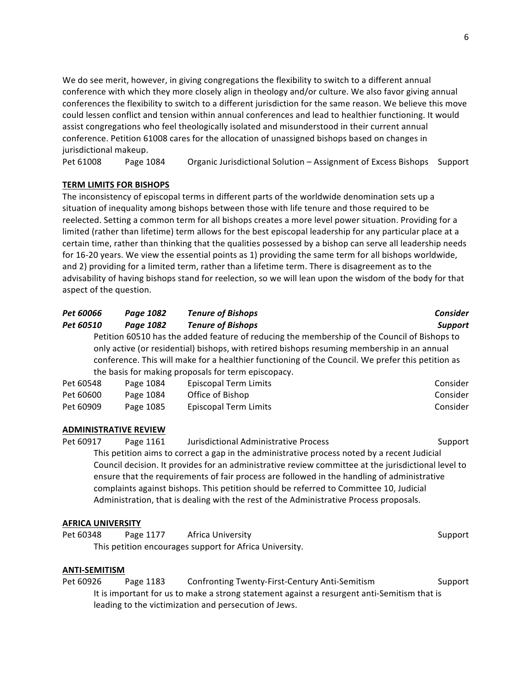We do see merit, however, in giving congregations the flexibility to switch to a different annual conference with which they more closely align in theology and/or culture. We also favor giving annual conferences the flexibility to switch to a different jurisdiction for the same reason. We believe this move could lessen conflict and tension within annual conferences and lead to healthier functioning. It would assist congregations who feel theologically isolated and misunderstood in their current annual conference. Petition 61008 cares for the allocation of unassigned bishops based on changes in jurisdictional makeup.

Pet 61008 Page 1084 Organic Jurisdictional Solution – Assignment of Excess Bishops Support

## **TERM LIMITS FOR BISHOPS**

The inconsistency of episcopal terms in different parts of the worldwide denomination sets up a situation of inequality among bishops between those with life tenure and those required to be reelected. Setting a common term for all bishops creates a more level power situation. Providing for a limited (rather than lifetime) term allows for the best episcopal leadership for any particular place at a certain time, rather than thinking that the qualities possessed by a bishop can serve all leadership needs for 16-20 years. We view the essential points as 1) providing the same term for all bishops worldwide, and 2) providing for a limited term, rather than a lifetime term. There is disagreement as to the advisability of having bishops stand for reelection, so we will lean upon the wisdom of the body for that aspect of the question.

| <b>Pet 60066</b>                                        | Page 1082 | <b>Tenure of Bishops</b>                                                                            | <b>Consider</b> |
|---------------------------------------------------------|-----------|-----------------------------------------------------------------------------------------------------|-----------------|
| Pet 60510                                               | Page 1082 | <b>Tenure of Bishops</b>                                                                            | <b>Support</b>  |
|                                                         |           | Petition 60510 has the added feature of reducing the membership of the Council of Bishops to        |                 |
|                                                         |           | only active (or residential) bishops, with retired bishops resuming membership in an annual         |                 |
|                                                         |           | conference. This will make for a healthier functioning of the Council. We prefer this petition as   |                 |
|                                                         |           | the basis for making proposals for term episcopacy.                                                 |                 |
| Pet 60548                                               | Page 1084 | <b>Episcopal Term Limits</b>                                                                        | Consider        |
| Pet 60600                                               | Page 1084 | Office of Bishop                                                                                    | Consider        |
| Pet 60909                                               | Page 1085 | <b>Episcopal Term Limits</b>                                                                        | Consider        |
|                                                         |           |                                                                                                     |                 |
| <b>ADMINISTRATIVE REVIEW</b>                            |           |                                                                                                     |                 |
| Pet 60917                                               | Page 1161 | Jurisdictional Administrative Process                                                               | Support         |
|                                                         |           | This petition aims to correct a gap in the administrative process noted by a recent Judicial        |                 |
|                                                         |           | Council decision. It provides for an administrative review committee at the jurisdictional level to |                 |
|                                                         |           | ensure that the requirements of fair process are followed in the handling of administrative         |                 |
|                                                         |           | complaints against bishops. This petition should be referred to Committee 10, Judicial              |                 |
|                                                         |           | Administration, that is dealing with the rest of the Administrative Process proposals.              |                 |
|                                                         |           |                                                                                                     |                 |
| <b>AFRICA UNIVERSITY</b>                                |           |                                                                                                     |                 |
| Pet 60348                                               | Page 1177 | Africa University                                                                                   | Support         |
| This petition encourages support for Africa University. |           |                                                                                                     |                 |
|                                                         |           |                                                                                                     |                 |
| <b>ANTI-SEMITISM</b>                                    |           |                                                                                                     |                 |
| Pet 60926                                               | Page 1183 | Confronting Twenty-First-Century Anti-Semitism                                                      | Support         |
|                                                         |           | It is important for us to make a strong statement against a resurgent anti-Semitism that is         |                 |

leading to the victimization and persecution of Jews.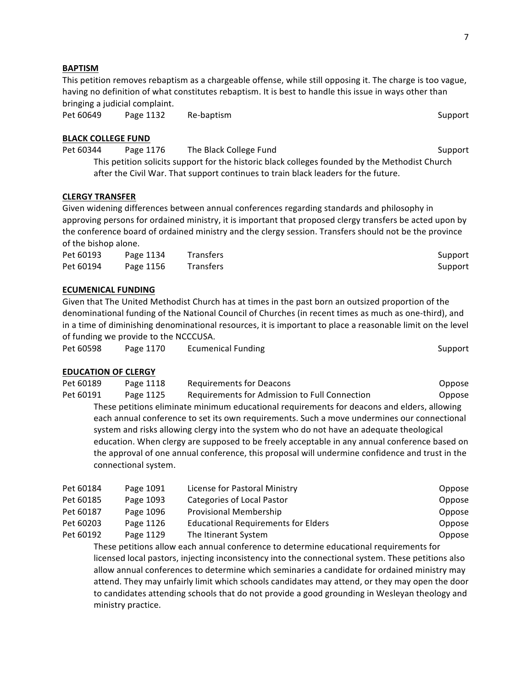#### **BAPTISM**

This petition removes rebaptism as a chargeable offense, while still opposing it. The charge is too vague, having no definition of what constitutes rebaptism. It is best to handle this issue in ways other than bringing a judicial complaint.

Pet 60649 Page 1132 Re-baptism Support

#### **BLACK COLLEGE FUND**

Pet 60344 Page 1176 The Black College Fund Support Support This petition solicits support for the historic black colleges founded by the Methodist Church after the Civil War. That support continues to train black leaders for the future.

### **CLERGY TRANSFER**

Given widening differences between annual conferences regarding standards and philosophy in approving persons for ordained ministry, it is important that proposed clergy transfers be acted upon by the conference board of ordained ministry and the clergy session. Transfers should not be the province of the bishop alone.

| Pet 60193 | Page 1134 | <b>Transfers</b> | Support |
|-----------|-----------|------------------|---------|
| Pet 60194 | Page 1156 | <b>Transfers</b> | Support |

#### **ECUMENICAL FUNDING**

Given that The United Methodist Church has at times in the past born an outsized proportion of the denominational funding of the National Council of Churches (in recent times as much as one-third), and in a time of diminishing denominational resources, it is important to place a reasonable limit on the level of funding we provide to the NCCCUSA.

| Pet 60598 | Page 1170 | <b>Ecumenical Funding</b> | Support |
|-----------|-----------|---------------------------|---------|

#### **EDUCATION OF CLERGY**

Pet 60189 Page 1118 Requirements for Deacons Theorem Compose Pet 60191 Page 1125 Requirements for Admission to Full Connection Coppose These petitions eliminate minimum educational requirements for deacons and elders, allowing each annual conference to set its own requirements. Such a move undermines our connectional system and risks allowing clergy into the system who do not have an adequate theological education. When clergy are supposed to be freely acceptable in any annual conference based on the approval of one annual conference, this proposal will undermine confidence and trust in the connectional system.

| Pet 60184 | Page 1091 | License for Pastoral Ministry              | Oppose |
|-----------|-----------|--------------------------------------------|--------|
| Pet 60185 | Page 1093 | Categories of Local Pastor                 | Oppose |
| Pet 60187 | Page 1096 | Provisional Membership                     | Oppose |
| Pet 60203 | Page 1126 | <b>Educational Requirements for Elders</b> | Oppose |
| Pet 60192 | Page 1129 | The Itinerant System                       | Oppose |

These petitions allow each annual conference to determine educational requirements for licensed local pastors, injecting inconsistency into the connectional system. These petitions also allow annual conferences to determine which seminaries a candidate for ordained ministry may attend. They may unfairly limit which schools candidates may attend, or they may open the door to candidates attending schools that do not provide a good grounding in Wesleyan theology and ministry practice.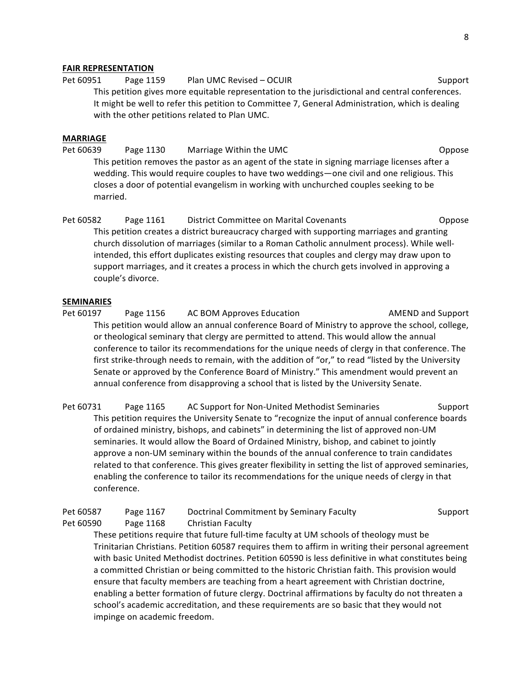#### **FAIR REPRESENTATION**

Pet 60951 Page 1159 Plan UMC Revised – OCUIR CHANGER Support This petition gives more equitable representation to the jurisdictional and central conferences. It might be well to refer this petition to Committee 7, General Administration, which is dealing with the other petitions related to Plan UMC.

#### **MARRIAGE**

Pet 60639 Page 1130 Marriage Within the UMC Company of the Compose This petition removes the pastor as an agent of the state in signing marriage licenses after a wedding. This would require couples to have two weddings—one civil and one religious. This closes a door of potential evangelism in working with unchurched couples seeking to be married.

Pet 60582 Page 1161 District Committee on Marital Covenants Committee Oppose This petition creates a district bureaucracy charged with supporting marriages and granting church dissolution of marriages (similar to a Roman Catholic annulment process). While wellintended, this effort duplicates existing resources that couples and clergy may draw upon to support marriages, and it creates a process in which the church gets involved in approving a couple's divorce.

#### **SEMINARIES**

Pet 60197 Page 1156 AC BOM Approves Education AMEND and Support This petition would allow an annual conference Board of Ministry to approve the school, college, or theological seminary that clergy are permitted to attend. This would allow the annual conference to tailor its recommendations for the unique needs of clergy in that conference. The first strike-through needs to remain, with the addition of "or," to read "listed by the University Senate or approved by the Conference Board of Ministry." This amendment would prevent an annual conference from disapproving a school that is listed by the University Senate.

Pet 60731 Page 1165 AC Support for Non-United Methodist Seminaries Support This petition requires the University Senate to "recognize the input of annual conference boards of ordained ministry, bishops, and cabinets" in determining the list of approved non-UM seminaries. It would allow the Board of Ordained Ministry, bishop, and cabinet to jointly approve a non-UM seminary within the bounds of the annual conference to train candidates related to that conference. This gives greater flexibility in setting the list of approved seminaries, enabling the conference to tailor its recommendations for the unique needs of clergy in that conference.

| Pet 60587 | Page 1167 | Doctrinal Commitment by Seminary Faculty | Support |
|-----------|-----------|------------------------------------------|---------|
| Pet 60590 | Page 1168 | Christian Faculty                        |         |

These petitions require that future full-time faculty at UM schools of theology must be Trinitarian Christians. Petition 60587 requires them to affirm in writing their personal agreement with basic United Methodist doctrines. Petition 60590 is less definitive in what constitutes being a committed Christian or being committed to the historic Christian faith. This provision would ensure that faculty members are teaching from a heart agreement with Christian doctrine, enabling a better formation of future clergy. Doctrinal affirmations by faculty do not threaten a school's academic accreditation, and these requirements are so basic that they would not impinge on academic freedom.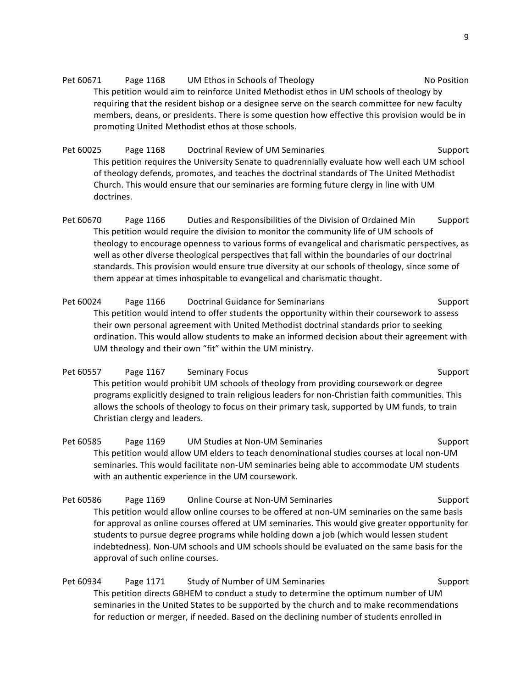Pet 60671 Page 1168 UM Ethos in Schools of Theology No Position This petition would aim to reinforce United Methodist ethos in UM schools of theology by requiring that the resident bishop or a designee serve on the search committee for new faculty members, deans, or presidents. There is some question how effective this provision would be in promoting United Methodist ethos at those schools.

Pet 60025 Page 1168 Doctrinal Review of UM Seminaries Support This petition requires the University Senate to quadrennially evaluate how well each UM school of theology defends, promotes, and teaches the doctrinal standards of The United Methodist Church. This would ensure that our seminaries are forming future clergy in line with UM doctrines.

Pet 60670 Page 1166 Duties and Responsibilities of the Division of Ordained Min Support This petition would require the division to monitor the community life of UM schools of theology to encourage openness to various forms of evangelical and charismatic perspectives, as well as other diverse theological perspectives that fall within the boundaries of our doctrinal standards. This provision would ensure true diversity at our schools of theology, since some of them appear at times inhospitable to evangelical and charismatic thought.

Pet 60024 Page 1166 Doctrinal Guidance for Seminarians Support Support This petition would intend to offer students the opportunity within their coursework to assess their own personal agreement with United Methodist doctrinal standards prior to seeking ordination. This would allow students to make an informed decision about their agreement with UM theology and their own "fit" within the UM ministry.

Pet 60557 Page 1167 Seminary Focus Support Support This petition would prohibit UM schools of theology from providing coursework or degree programs explicitly designed to train religious leaders for non-Christian faith communities. This allows the schools of theology to focus on their primary task, supported by UM funds, to train Christian clergy and leaders.

Pet 60585 Page 1169 UM Studies at Non-UM Seminaries Support This petition would allow UM elders to teach denominational studies courses at local non-UM seminaries. This would facilitate non-UM seminaries being able to accommodate UM students with an authentic experience in the UM coursework.

Pet 60586 Page 1169 Online Course at Non-UM Seminaries Support This petition would allow online courses to be offered at non-UM seminaries on the same basis for approval as online courses offered at UM seminaries. This would give greater opportunity for students to pursue degree programs while holding down a job (which would lessen student indebtedness). Non-UM schools and UM schools should be evaluated on the same basis for the approval of such online courses.

Pet 60934 Page 1171 Study of Number of UM Seminaries Support This petition directs GBHEM to conduct a study to determine the optimum number of UM seminaries in the United States to be supported by the church and to make recommendations for reduction or merger, if needed. Based on the declining number of students enrolled in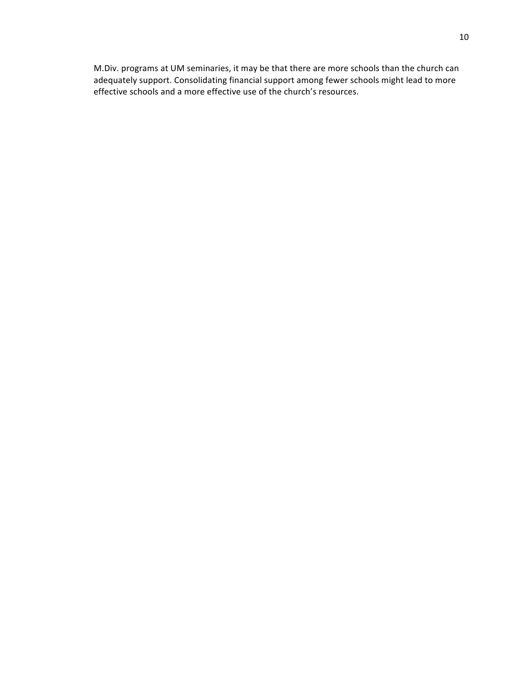M.Div. programs at UM seminaries, it may be that there are more schools than the church can adequately support. Consolidating financial support among fewer schools might lead to more effective schools and a more effective use of the church's resources.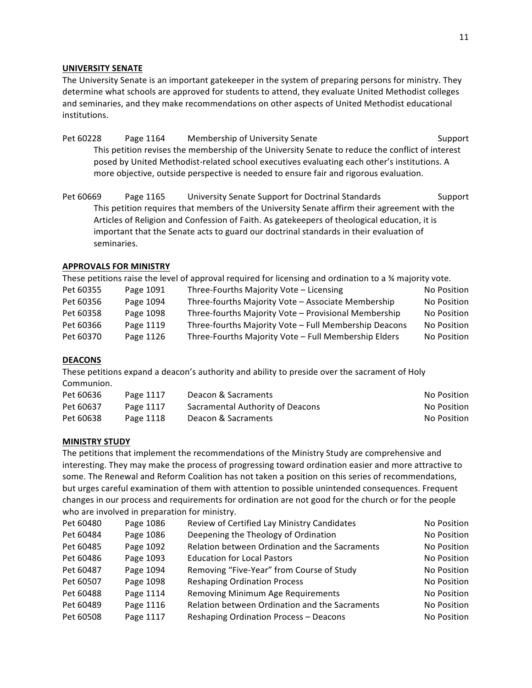### **UNIVERSITY SENATE**

The University Senate is an important gatekeeper in the system of preparing persons for ministry. They determine what schools are approved for students to attend, they evaluate United Methodist colleges and seminaries, and they make recommendations on other aspects of United Methodist educational institutions.

- Pet 60228 Page 1164 Membership of University Senate Support Support This petition revises the membership of the University Senate to reduce the conflict of interest posed by United Methodist-related school executives evaluating each other's institutions. A more objective, outside perspective is needed to ensure fair and rigorous evaluation.
- Pet 60669 Page 1165 University Senate Support for Doctrinal Standards Support This petition requires that members of the University Senate affirm their agreement with the Articles of Religion and Confession of Faith. As gatekeepers of theological education, it is important that the Senate acts to guard our doctrinal standards in their evaluation of seminaries.

## **APPROVALS FOR MINISTRY**

These petitions raise the level of approval required for licensing and ordination to a  $\frac{3}{4}$  majority vote.

| Pet 60355 | Page 1091 | Three-Fourths Majority Vote - Licensing               | No Position |
|-----------|-----------|-------------------------------------------------------|-------------|
| Pet 60356 | Page 1094 | Three-fourths Majority Vote - Associate Membership    | No Position |
| Pet 60358 | Page 1098 | Three-fourths Majority Vote - Provisional Membership  | No Position |
| Pet 60366 | Page 1119 | Three-fourths Majority Vote - Full Membership Deacons | No Position |
| Pet 60370 | Page 1126 | Three-Fourths Majority Vote - Full Membership Elders  | No Position |

#### **DEACONS**

These petitions expand a deacon's authority and ability to preside over the sacrament of Holy Communion.

| Pet 60636 | Page 1117 | Deacon & Sacraments              | No Position |
|-----------|-----------|----------------------------------|-------------|
| Pet 60637 | Page 1117 | Sacramental Authority of Deacons | No Position |
| Pet 60638 | Page 1118 | Deacon & Sacraments              | No Position |

#### **MINISTRY STUDY**

The petitions that implement the recommendations of the Ministry Study are comprehensive and interesting. They may make the process of progressing toward ordination easier and more attractive to some. The Renewal and Reform Coalition has not taken a position on this series of recommendations, but urges careful examination of them with attention to possible unintended consequences. Frequent changes in our process and requirements for ordination are not good for the church or for the people who are involved in preparation for ministry.

| Pet 60480 | Page 1086 | Review of Certified Lay Ministry Candidates    | No Position |
|-----------|-----------|------------------------------------------------|-------------|
| Pet 60484 | Page 1086 | Deepening the Theology of Ordination           | No Position |
| Pet 60485 | Page 1092 | Relation between Ordination and the Sacraments | No Position |
| Pet 60486 | Page 1093 | <b>Education for Local Pastors</b>             | No Position |
| Pet 60487 | Page 1094 | Removing "Five-Year" from Course of Study      | No Position |
| Pet 60507 | Page 1098 | <b>Reshaping Ordination Process</b>            | No Position |
| Pet 60488 | Page 1114 | Removing Minimum Age Requirements              | No Position |
| Pet 60489 | Page 1116 | Relation between Ordination and the Sacraments | No Position |
| Pet 60508 | Page 1117 | <b>Reshaping Ordination Process - Deacons</b>  | No Position |